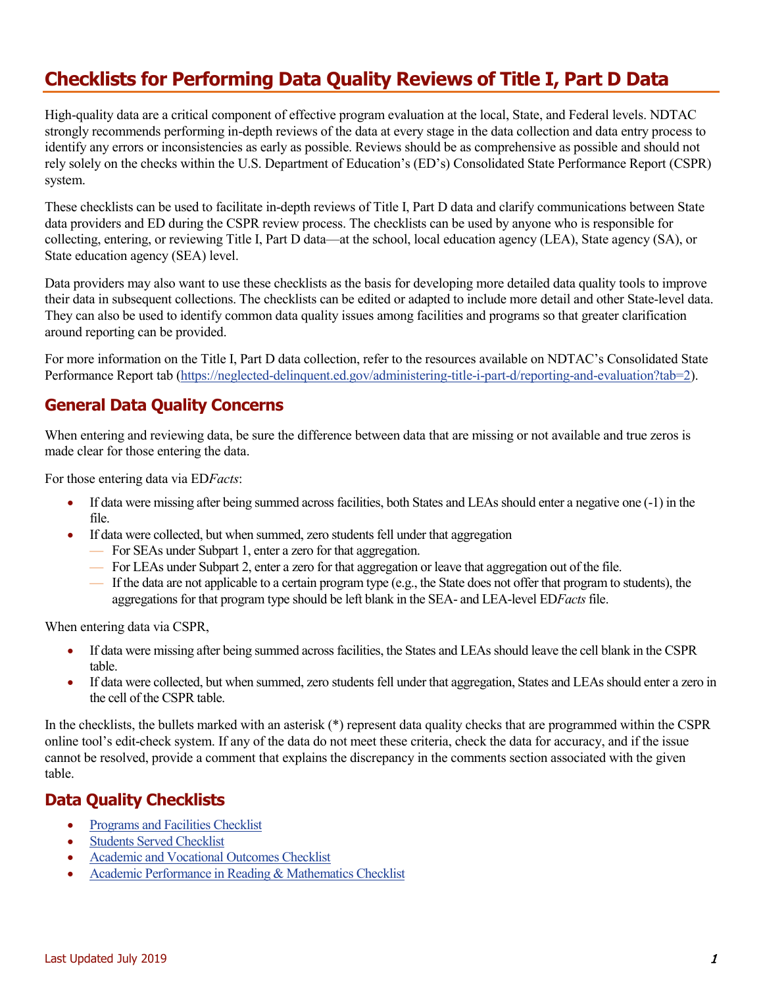## **Checklists for Performing Data Quality Reviews of Title I, Part D Data**

High-quality data are a critical component of effective program evaluation at the local, State, and Federal levels. NDTAC strongly recommends performing in-depth reviews of the data at every stage in the data collection and data entry process to identify any errors or inconsistencies as early as possible. Reviews should be as comprehensive as possible and should not rely solely on the checks within the U.S. Department of Education's (ED's) Consolidated State Performance Report (CSPR) system.

These checklists can be used to facilitate in-depth reviews of Title I, Part D data and clarify communications between State data providers and ED during the CSPR review process. The checklists can be used by anyone who is responsible for collecting, entering, or reviewing Title I, Part D data—at the school, local education agency (LEA), State agency (SA), or State education agency (SEA) level.

Data providers may also want to use these checklists as the basis for developing more detailed data quality tools to improve their data in subsequent collections. The checklists can be edited or adapted to include more detail and other State-level data. They can also be used to identify common data quality issues among facilities and programs so that greater clarification around reporting can be provided.

For more information on the Title I, Part D data collection, refer to the resources available on NDTAC's Consolidated State Performance Report tab [\(https://neglected-delinquent.ed.gov/administering-title-i-part-d/reporting-and-evaluation?tab=2\)](https://neglected-delinquent.ed.gov/administering-title-i-part-d/reporting-and-evaluation?tab=2).

#### **General Data Quality Concerns**

When entering and reviewing data, be sure the difference between data that are missing or not available and true zeros is made clear for those entering the data.

For those entering data via ED*Facts*:

- If data were missing after being summed across facilities, both States and LEAs should enter a negative one (-1) in the file.
- If data were collected, but when summed, zero students fell under that aggregation
	- For SEAs under Subpart 1, enter a zero for that aggregation.
	- For LEAs under Subpart 2, enter a zero for that aggregation or leave that aggregation out of the file.
	- If the data are not applicable to a certain program type (e.g., the State does not offer that program to students), the aggregations for that program type should be left blank in the SEA- and LEA-level ED*Facts*file.

When entering data via CSPR,

- If data were missing after being summed across facilities, the States and LEAs should leave the cell blank in the CSPR table.
- If data were collected, but when summed, zero students fell under that aggregation, States and LEAs should enter a zero in the cell of the CSPR table.

In the checklists, the bullets marked with an asterisk (\*) represent data quality checks that are programmed within the CSPR online tool's edit-check system. If any of the data do not meet these criteria, check the data for accuracy, and if the issue cannot be resolved, provide a comment that explains the discrepancy in the comments section associated with the given table.

### **Data Quality Checklists**

- [Programs and Facilities Checklist](#page-1-0)
- **Students Served Checklist**
- [Academic and Vocational Outcomes Checklist](#page-3-0)
- [Academic Performance in Reading & Mathematics Checklist](#page-5-0)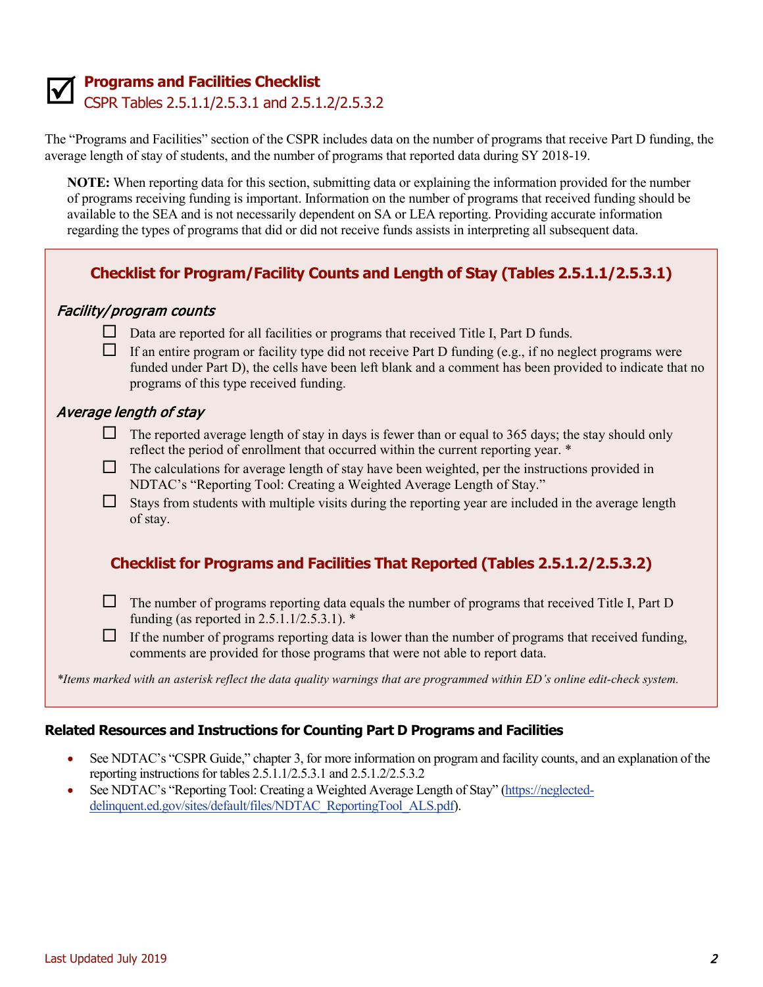

# <span id="page-1-0"></span>**M Programs and Facilities Checklist • CSPR Tables 2.5.1.1/2.5.3.1 and 2.5.1.2/2.5.3.2**

The "Programs and Facilities" section of the CSPR includes data on the number of programs that receive Part D funding, the average length of stay of students, and the number of programs that reported data during SY 2018-19.

**NOTE:** When reporting data for this section, submitting data or explaining the information provided for the number of programs receiving funding is important. Information on the number of programs that received funding should be available to the SEA and is not necessarily dependent on SA or LEA reporting. Providing accurate information regarding the types of programs that did or did not receive funds assists in interpreting all subsequent data.

#### **Checklist for Program/Facility Counts and Length of Stay (Tables 2.5.1.1/2.5.3.1)**

#### Facility/program counts

- $\Box$  Data are reported for all facilities or programs that received Title I, Part D funds.
- $\Box$  If an entire program or facility type did not receive Part D funding (e.g., if no neglect programs were funded under Part D), the cells have been left blank and a comment has been provided to indicate that no programs of this type received funding.

#### Average length of stay

- $\Box$  The reported average length of stay in days is fewer than or equal to 365 days; the stay should only reflect the period of enrollment that occurred within the current reporting year. \*
- $\Box$  The calculations for average length of stay have been weighted, per the instructions provided in NDTAC's "Reporting Tool: Creating a Weighted Average Length of Stay."
- $\Box$  Stays from students with multiple visits during the reporting year are included in the average length of stay.

#### **Checklist for Programs and Facilities That Reported (Tables 2.5.1.2/2.5.3.2)**

- $\Box$  The number of programs reporting data equals the number of programs that received Title I, Part D funding (as reported in 2.5.1.1/2.5.3.1). \*
- $\Box$  If the number of programs reporting data is lower than the number of programs that received funding, comments are provided for those programs that were not able to report data.

*\*Items marked with an asterisk reflect the data quality warnings that are programmed within ED's online edit-check system.* 

#### **Related Resources and Instructions for Counting Part D Programs and Facilities**

- See NDTAC's "CSPR Guide," chapter 3, for more information on program and facility counts, and an explanation of the reporting instructions for tables 2.5.1.1/2.5.3.1 and 2.5.1.2/2.5.3.2
- See NDTAC's "Reporting Tool: Creating a Weighted Average Length of Stay" [\(https://neglected](https://neglected-delinquent.ed.gov/sites/default/files/NDTAC_ReportingTool_ALS.pdf)[delinquent.ed.gov/sites/default/files/NDTAC\\_ReportingTool\\_ALS.pdf\)](https://neglected-delinquent.ed.gov/sites/default/files/NDTAC_ReportingTool_ALS.pdf).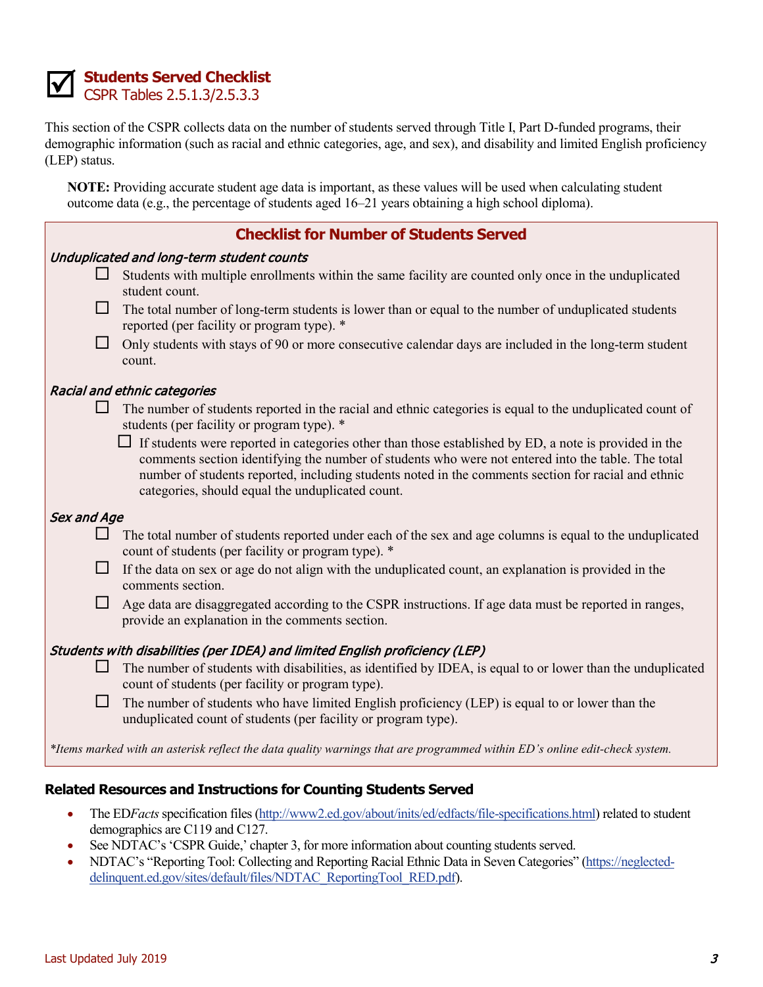

#### <span id="page-2-0"></span>**Students Served Checklist** CSPR Tables 2.5.1.3/2.5.3.3

This section of the CSPR collects data on the number of students served through Title I, Part D-funded programs, their demographic information (such as racial and ethnic categories, age, and sex), and disability and limited English proficiency (LEP) status.

**NOTE:** Providing accurate student age data is important, as these values will be used when calculating student outcome data (e.g., the percentage of students aged 16–21 years obtaining a high school diploma).

|                                           |        | <b>Checklist for Number of Students Served</b>                                                                                                                                                                                                                                                                                                                                |  |  |  |  |  |
|-------------------------------------------|--------|-------------------------------------------------------------------------------------------------------------------------------------------------------------------------------------------------------------------------------------------------------------------------------------------------------------------------------------------------------------------------------|--|--|--|--|--|
| Unduplicated and long-term student counts |        |                                                                                                                                                                                                                                                                                                                                                                               |  |  |  |  |  |
|                                           |        | Students with multiple enrollments within the same facility are counted only once in the unduplicated<br>student count.                                                                                                                                                                                                                                                       |  |  |  |  |  |
|                                           | $\Box$ | The total number of long-term students is lower than or equal to the number of unduplicated students<br>reported (per facility or program type). *                                                                                                                                                                                                                            |  |  |  |  |  |
|                                           | $\Box$ | Only students with stays of 90 or more consecutive calendar days are included in the long-term student<br>count.                                                                                                                                                                                                                                                              |  |  |  |  |  |
| Racial and ethnic categories              |        |                                                                                                                                                                                                                                                                                                                                                                               |  |  |  |  |  |
|                                           | ⊔      | The number of students reported in the racial and ethnic categories is equal to the unduplicated count of<br>students (per facility or program type). *                                                                                                                                                                                                                       |  |  |  |  |  |
|                                           |        | $\Box$ If students were reported in categories other than those established by ED, a note is provided in the<br>comments section identifying the number of students who were not entered into the table. The total<br>number of students reported, including students noted in the comments section for racial and ethnic<br>categories, should equal the unduplicated count. |  |  |  |  |  |
| Sex and Age                               |        |                                                                                                                                                                                                                                                                                                                                                                               |  |  |  |  |  |
|                                           |        | The total number of students reported under each of the sex and age columns is equal to the unduplicated<br>count of students (per facility or program type). *                                                                                                                                                                                                               |  |  |  |  |  |
|                                           | $\Box$ | If the data on sex or age do not align with the unduplicated count, an explanation is provided in the<br>comments section.                                                                                                                                                                                                                                                    |  |  |  |  |  |
|                                           | $\Box$ | Age data are disaggregated according to the CSPR instructions. If age data must be reported in ranges,<br>provide an explanation in the comments section.                                                                                                                                                                                                                     |  |  |  |  |  |
|                                           |        | Students with disabilities (per IDEA) and limited English proficiency (LEP)                                                                                                                                                                                                                                                                                                   |  |  |  |  |  |
|                                           | ⊔      | The number of students with disabilities, as identified by IDEA, is equal to or lower than the unduplicated<br>count of students (per facility or program type).                                                                                                                                                                                                              |  |  |  |  |  |
|                                           | $\Box$ | The number of students who have limited English proficiency (LEP) is equal to or lower than the<br>unduplicated count of students (per facility or program type).                                                                                                                                                                                                             |  |  |  |  |  |
|                                           |        | *Items marked with an asterisk reflect the data quality warnings that are programmed within ED's online edit-check system.                                                                                                                                                                                                                                                    |  |  |  |  |  |

#### **Related Resources and Instructions for Counting Students Served**

- The EDFacts specification files [\(http://www2.ed.gov/about/inits/ed/edfacts/file-specifications.html\)](http://www2.ed.gov/about/inits/ed/edfacts/file-specifications.html) related to student demographics are C119 and C127.
- See NDTAC's 'CSPR Guide,' chapter 3, for more information about counting students served.
- NDTAC's "Reporting Tool: Collecting and Reporting Racial Ethnic Data in Seven Categories" [\(https://neglected](https://neglected-delinquent.ed.gov/sites/default/files/NDTAC_ReportingTool_RED.pdf)[delinquent.ed.gov/sites/default/files/NDTAC\\_ReportingTool\\_RED.pdf\)](https://neglected-delinquent.ed.gov/sites/default/files/NDTAC_ReportingTool_RED.pdf).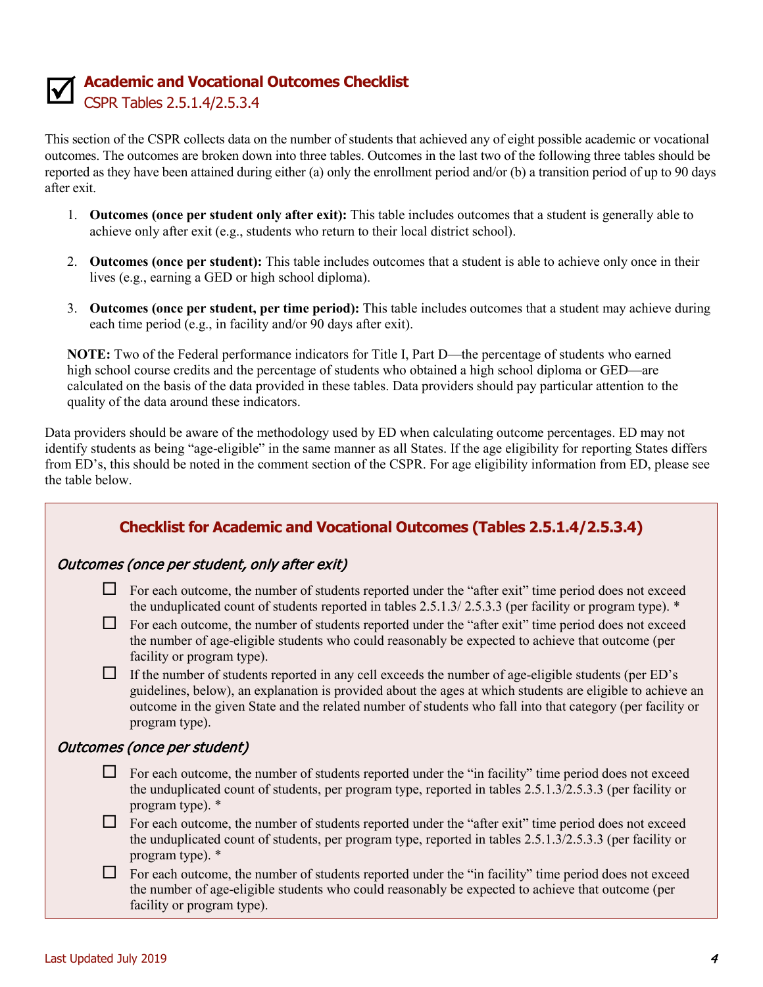# **Academic and Vocational Outcomes Checklist**

<span id="page-3-0"></span>CSPR Tables 2.5.1.4/2.5.3.4

This section of the CSPR collects data on the number of students that achieved any of eight possible academic or vocational outcomes. The outcomes are broken down into three tables. Outcomes in the last two of the following three tables should be reported as they have been attained during either (a) only the enrollment period and/or (b) a transition period of up to 90 days after exit.

- 1. **Outcomes (once per student only after exit):** This table includes outcomes that a student is generally able to achieve only after exit (e.g., students who return to their local district school).
- 2. **Outcomes (once per student):** This table includes outcomes that a student is able to achieve only once in their lives (e.g., earning a GED or high school diploma).
- 3. **Outcomes (once per student, per time period):** This table includes outcomes that a student may achieve during each time period (e.g., in facility and/or 90 days after exit).

**NOTE:** Two of the Federal performance indicators for Title I, Part D—the percentage of students who earned high school course credits and the percentage of students who obtained a high school diploma or GED—are calculated on the basis of the data provided in these tables. Data providers should pay particular attention to the quality of the data around these indicators.

Data providers should be aware of the methodology used by ED when calculating outcome percentages. ED may not identify students as being "age-eligible" in the same manner as all States. If the age eligibility for reporting States differs from ED's, this should be noted in the comment section of the CSPR. For age eligibility information from ED, please see the table below.

| <b>Checklist for Academic and Vocational Outcomes (Tables 2.5.1.4/2.5.3.4)</b> |                                                                                                                                                                                                                                                                                                                                                                                                                                                                                                                                                                        |  |  |  |  |  |
|--------------------------------------------------------------------------------|------------------------------------------------------------------------------------------------------------------------------------------------------------------------------------------------------------------------------------------------------------------------------------------------------------------------------------------------------------------------------------------------------------------------------------------------------------------------------------------------------------------------------------------------------------------------|--|--|--|--|--|
| Outcomes (once per student, only after exit)                                   |                                                                                                                                                                                                                                                                                                                                                                                                                                                                                                                                                                        |  |  |  |  |  |
| $\mathsf{L}$<br>$\Box$<br>⊔                                                    | For each outcome, the number of students reported under the "after exit" time period does not exceed<br>the unduplicated count of students reported in tables $2.5.1.3/2.5.3.3$ (per facility or program type). $*$<br>For each outcome, the number of students reported under the "after exit" time period does not exceed<br>the number of age-eligible students who could reasonably be expected to achieve that outcome (per<br>facility or program type).<br>If the number of students reported in any cell exceeds the number of age-eligible students (per ED's |  |  |  |  |  |
|                                                                                | guidelines, below), an explanation is provided about the ages at which students are eligible to achieve an<br>outcome in the given State and the related number of students who fall into that category (per facility or<br>program type).                                                                                                                                                                                                                                                                                                                             |  |  |  |  |  |
| Outcomes (once per student)                                                    |                                                                                                                                                                                                                                                                                                                                                                                                                                                                                                                                                                        |  |  |  |  |  |
| $\sqcup$                                                                       | For each outcome, the number of students reported under the "in facility" time period does not exceed<br>the unduplicated count of students, per program type, reported in tables 2.5.1.3/2.5.3.3 (per facility or<br>program type). *                                                                                                                                                                                                                                                                                                                                 |  |  |  |  |  |
| $\Box$                                                                         | For each outcome, the number of students reported under the "after exit" time period does not exceed<br>the unduplicated count of students, per program type, reported in tables 2.5.1.3/2.5.3.3 (per facility or<br>program type). *                                                                                                                                                                                                                                                                                                                                  |  |  |  |  |  |
| $\Box$                                                                         | For each outcome, the number of students reported under the "in facility" time period does not exceed<br>the number of age-eligible students who could reasonably be expected to achieve that outcome (per<br>facility or program type).                                                                                                                                                                                                                                                                                                                               |  |  |  |  |  |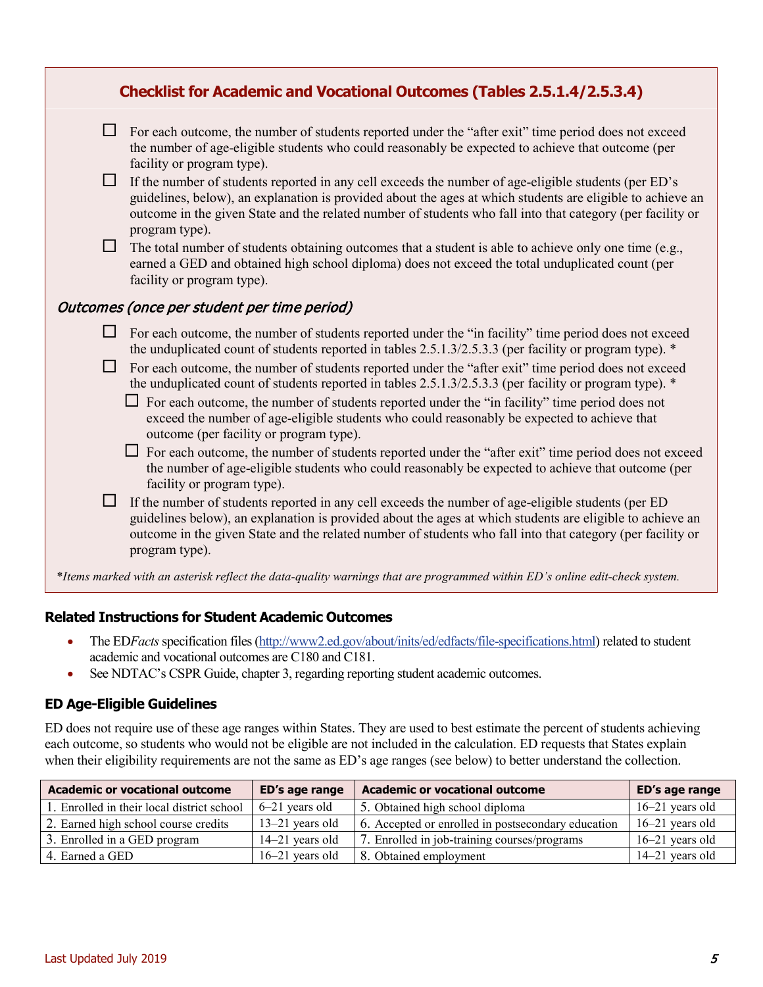| <b>Checklist for Academic and Vocational Outcomes (Tables 2.5.1.4/2.5.3.4)</b> |                                                                                                                                                                                                                                                                                                                                                                                                                                     |  |  |  |  |  |
|--------------------------------------------------------------------------------|-------------------------------------------------------------------------------------------------------------------------------------------------------------------------------------------------------------------------------------------------------------------------------------------------------------------------------------------------------------------------------------------------------------------------------------|--|--|--|--|--|
| $\Box$                                                                         | For each outcome, the number of students reported under the "after exit" time period does not exceed<br>the number of age-eligible students who could reasonably be expected to achieve that outcome (per<br>facility or program type).                                                                                                                                                                                             |  |  |  |  |  |
| $\Box$                                                                         | If the number of students reported in any cell exceeds the number of age-eligible students (per ED's<br>guidelines, below), an explanation is provided about the ages at which students are eligible to achieve an<br>outcome in the given State and the related number of students who fall into that category (per facility or<br>program type).                                                                                  |  |  |  |  |  |
| $\Box$                                                                         | The total number of students obtaining outcomes that a student is able to achieve only one time (e.g.,<br>earned a GED and obtained high school diploma) does not exceed the total unduplicated count (per<br>facility or program type).                                                                                                                                                                                            |  |  |  |  |  |
| Outcomes (once per student per time period)                                    |                                                                                                                                                                                                                                                                                                                                                                                                                                     |  |  |  |  |  |
| $\Box$                                                                         | For each outcome, the number of students reported under the "in facility" time period does not exceed<br>the unduplicated count of students reported in tables 2.5.1.3/2.5.3.3 (per facility or program type). *<br>For each outcome, the number of students reported under the "after exit" time period does not exceed<br>the unduplicated count of students reported in tables 2.5.1.3/2.5.3.3 (per facility or program type). * |  |  |  |  |  |
|                                                                                | $\Box$ For each outcome, the number of students reported under the "in facility" time period does not<br>exceed the number of age-eligible students who could reasonably be expected to achieve that<br>outcome (per facility or program type).                                                                                                                                                                                     |  |  |  |  |  |
|                                                                                | $\Box$ For each outcome, the number of students reported under the "after exit" time period does not exceed<br>the number of age-eligible students who could reasonably be expected to achieve that outcome (per<br>facility or program type).                                                                                                                                                                                      |  |  |  |  |  |
| $\Box$                                                                         | If the number of students reported in any cell exceeds the number of age-eligible students (per ED<br>guidelines below), an explanation is provided about the ages at which students are eligible to achieve an<br>outcome in the given State and the related number of students who fall into that category (per facility or<br>program type).                                                                                     |  |  |  |  |  |
|                                                                                | *Items marked with an asterisk reflect the data-quality warnings that are programmed within ED's online edit-check system.                                                                                                                                                                                                                                                                                                          |  |  |  |  |  |

#### **Related Instructions for Student Academic Outcomes**

- The EDFacts specification files [\(http://www2.ed.gov/about/inits/ed/edfacts/file-specifications.html\)](http://www2.ed.gov/about/inits/ed/edfacts/file-specifications.html) related to student academic and vocational outcomes are C180 and C181.
- See NDTAC's CSPR Guide, chapter 3, regarding reporting student academic outcomes.

#### **ED Age-Eligible Guidelines**

ED does not require use of these age ranges within States. They are used to best estimate the percent of students achieving each outcome, so students who would not be eligible are not included in the calculation. ED requests that States explain when their eligibility requirements are not the same as ED's age ranges (see below) to better understand the collection.

| <b>Academic or vocational outcome</b>      | ED's age range    | <b>Academic or vocational outcome</b>              | ED's age range    |
|--------------------------------------------|-------------------|----------------------------------------------------|-------------------|
| 1. Enrolled in their local district school | 6–21 years old    | 5. Obtained high school diploma                    | $16-21$ years old |
| 2. Earned high school course credits       | $13-21$ years old | 6. Accepted or enrolled in postsecondary education | $16-21$ years old |
| 3. Enrolled in a GED program               | $14-21$ years old | 7. Enrolled in job-training courses/programs       | $16-21$ years old |
| 4. Earned a GED                            | $16-21$ years old | 8. Obtained employment                             | 14–21 years old   |